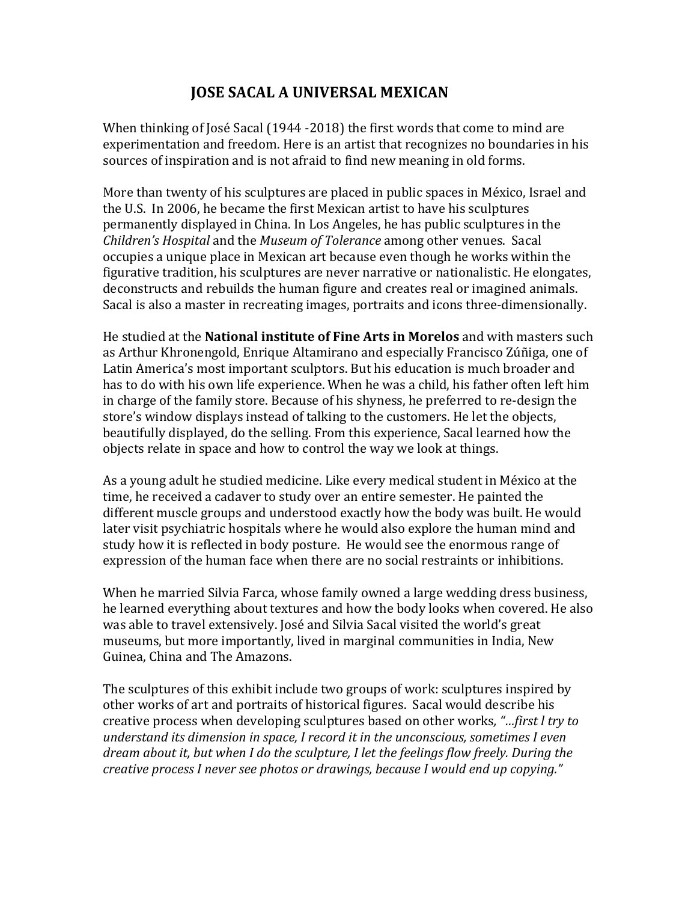## **JOSE SACAL A UNIVERSAL MEXICAN**

When thinking of José Sacal (1944 -2018) the first words that come to mind are experimentation and freedom. Here is an artist that recognizes no boundaries in his sources of inspiration and is not afraid to find new meaning in old forms.

More than twenty of his sculptures are placed in public spaces in México, Israel and the U.S. In 2006, he became the first Mexican artist to have his sculptures permanently displayed in China. In Los Angeles, he has public sculptures in the *Children's Hospital* and the *Museum of Tolerance* among other venues. Sacal occupies a unique place in Mexican art because even though he works within the figurative tradition, his sculptures are never narrative or nationalistic. He elongates, deconstructs and rebuilds the human figure and creates real or imagined animals. Sacal is also a master in recreating images, portraits and icons three-dimensionally.

**He studied at the National institute of Fine Arts in Morelos and with masters such** as Arthur Khronengold, Enrique Altamirano and especially Francisco Zúñiga, one of Latin America's most important sculptors. But his education is much broader and has to do with his own life experience. When he was a child, his father often left him in charge of the family store. Because of his shyness, he preferred to re-design the store's window displays instead of talking to the customers. He let the objects, beautifully displayed, do the selling. From this experience, Sacal learned how the objects relate in space and how to control the way we look at things.

As a young adult he studied medicine. Like every medical student in México at the time, he received a cadaver to study over an entire semester. He painted the different muscle groups and understood exactly how the body was built. He would later visit psychiatric hospitals where he would also explore the human mind and study how it is reflected in body posture. He would see the enormous range of expression of the human face when there are no social restraints or inhibitions.

When he married Silvia Farca, whose family owned a large wedding dress business, he learned everything about textures and how the body looks when covered. He also was able to travel extensively. José and Silvia Sacal visited the world's great museums, but more importantly, lived in marginal communities in India, New Guinea, China and The Amazons.

The sculptures of this exhibit include two groups of work: sculptures inspired by other works of art and portraits of historical figures. Sacal would describe his creative process when developing sculptures based on other works, "...first *l try to understand its dimension in space, I record it in the unconscious, sometimes I even dream about it, but when I do the sculpture, I let the feelings flow freely. During the creative process I never see photos or drawings, because I would end up copying."*